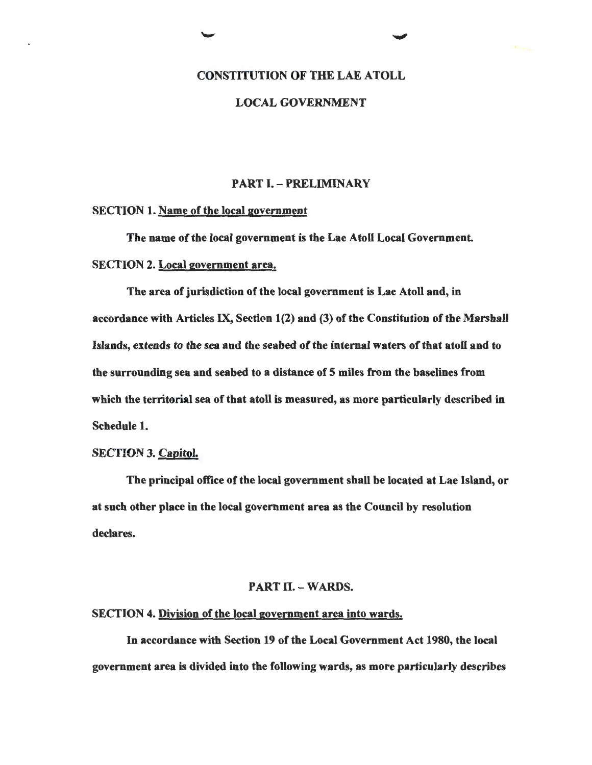# CONSTITUTION OF THE LAE ATOLL

# LOCAL GOVERNMENT

# PART I. - PRELIMINARY

#### SECTION 1. Name of the local government

The name of the local government is the Lae Atoll Local Government. SECTION 2. Local government area.

The area of jurisdiction of the local government is Lae Atoll and, in accordance with Articles IX, Section  $1(2)$  and  $(3)$  of the Constitution of the Marshall Islands, extends to the sea and the seabed of the internal waters of that atoll and to the surrounding sea and seabed to a distance of 5 miles from the baselines from which the territorial sea of that atoll is measured, as more particularly described in Schedule 1.

# SECTION 3. Capitol.

The principal office of the local government shall be located at Lae Island, or at such other place in the local government area as the Council by resolution declares.

# PART II. - WARDS.

### SECTION 4. Division of the local government area into wards.

In accordance with Section 19 of the Local Government Act 1980, the local government area is divided into the following wards, as more particularly describes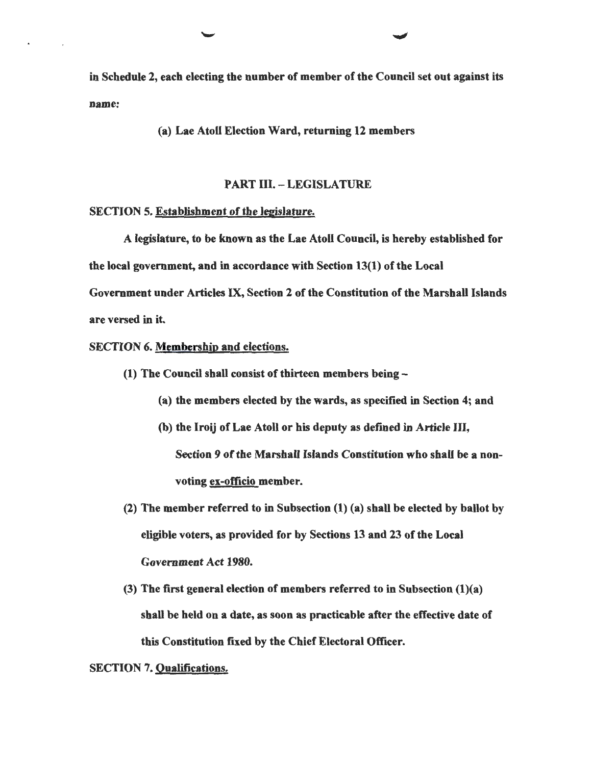in Schedule 2, each electing the number of member of the Council set out against its name:

(a) Lae Atoll Election Ward, returning 12 members

#### PART III. - LEGISLATURE

#### SECTION 5. Establishment of the legislature.

A legislature, to be known as the Lae Atoll Council, is hereby established for the local government, and in accordance with Section 13(1) of the Local Government under Articles IX, Section 2 of the Constitution of the Marshall Islands are versed in it.

#### SECTION 6. Membership and elections.

- (1) The Council shall consist of thirteen members being-
	- (a) the members elected by the wards, as specified in Section 4; and
	- (b) the Iroij of Lae Atoll or his deputy as defined in Article lli, Section 9 of the Marshall Islands Constitution who shall be a nonvoting ex-officio member.
- (2) The member referred to in Subsection (1) (a) shall be elected by ballot by eligible voters, as provided for by Sections 13 and 23 of the Local Government Act 1980.
- (3) The first general election of members referred to in Subsection (1)(a) shall be held on a date, as soon as practicable after the effective date of this Constitution fixed by the Chief Electoral Officer.

#### SECTION 7. Qualifications.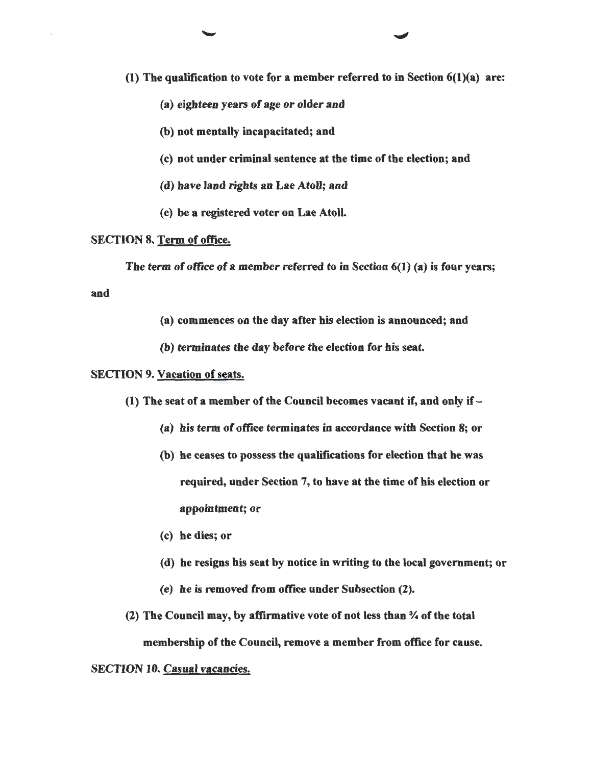(1) The qualification to vote for a member referred to in Section 6(1)(a) are:

- (a) eighteen years of age or older and
- (b) not mentally incapacitated; and
- (c) not under criminal sentence at the time of the election; and
- (d) have land rights an Lae Atoll; and
- (e) be a registered voter on Lae Atoll.

#### SECTION 8. Term of office.

The term of office of a member referred to in Section 6(1) (a) is four years;

and

- (a) commences oa the day after his election is announced; and
- (b) terminates the day before the election for his seat.

#### SECTION 9. Vacation of seats.

- (1) The seat of a member of the Council becomes vacant if, and only if-
	- (a) his term of office terminates in accordance with Section 8; or
	- (b) he ceases to possess the qualifications for election that he was required, under Section 7, to have at the time of his election or appointment; or
	- (c) be dies; or
	- (d) he resigns his seat by notice in writing to the local government; or
	- (e) he is removed from office under Subsection (2).

(2) The Council may, by affirmative vote of not less than % of the total membership of the Council, remove a member from office for cause.

# SECTION 10. Casual vacancies.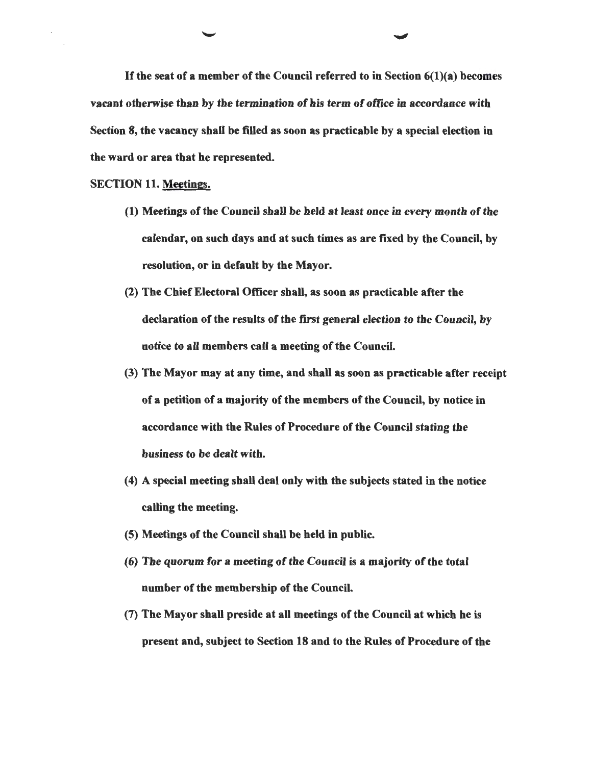If the seat of a member of the Council referred to in Section  $6(1)(a)$  becomes vacant otherwise than by the termination of his term of office in accordance with Section 8, the vacancy shall be filled as soon as practicable by a special election in the ward or area that he represented.

#### SECTION 11. Meetings.

- (1) Meetings of the Council shall be held at least once in every month of the calendar, on such days and at such times as are fixed by the Council, by resolution, or in default by the Mayor.
- (2) The Chief Electoral Officer shall, as soon as practicable after the declaration of the results of the frrst general election to the Council, by notice to all members call a meeting of the Council.
- (3) The Mayor may at any time, and shall as soon as practicable after receipt of a petition of a majority of the members of the Council, by notice in accordance with the Rules of Procedure of the Council stating the business to be dealt with.
- (4) A special meeting shall deal only with the subjects stated in the notice calling the meeting.
- (5) Meetings of the Council shall be held in public.
- (6) The quorum for a meeting of the Council is a majority of the total number of the membership of the Council.
- (7) The Mayor shall preside at all meetings of the Council at which he is present and, subject to Section 18 and to the Rules of Procedure of the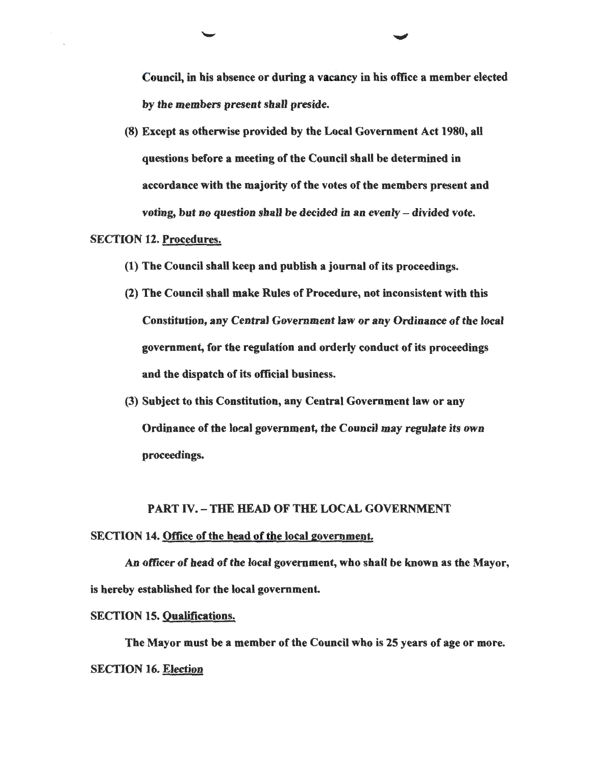Council, in his absence or during a vacancy in his office a member elected by the members present shall preside.

(8) Except as otherwise provided by the Local Government Act 1980, aU questions before a meeting of the Council shall be determined in accordance with the majority of the votes of the members present and voting, but no question shall be decided in an evenly - divided vote.

# SECTION 12. Procedures.

- (1) The Council shall keep and publish a journal of its proceedings.
- (2) The Council shall make Rules of Procedure, not inconsistent with this Constitution, any Central Government law or any Ordinance of the local government, for the regulation and orderly conduct of its proceedings and the dispatch of its official business.
- (3) Subject to this Constitution, any Central Government law or any Ordinance of the local government, the Council may regulate its own proceedings.

# PART IV.- THE HEAD OF THE LOCAL GOVERNMENT

# SECTION 14. Office of the head of the local government.

An officer of head of the local government, who shall be known as the Mayor, is hereby established for the local government.

# SECTION 15. Qualifications.

The Mayor must be a member of the Council who is 25 years of age or more. SECTION 16. Election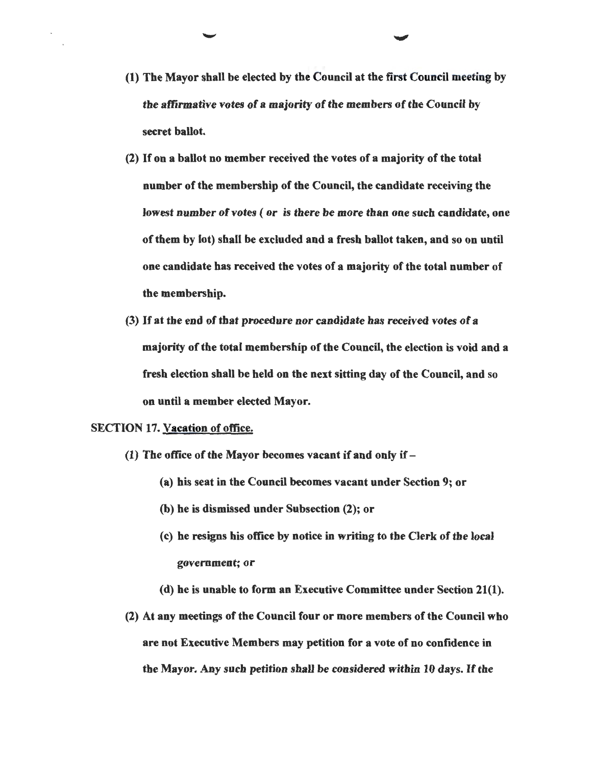- (1) The Mayor shall be elected by the Council at the first Council meeting by the affirmative votes of a majority of the members of the Council by secret ballot.
- (2) If on a ballot no member received the votes of a majority of the total number of the membership of the Council, the candidate receiving the lowest number of votes ( or is there be more than one such candidate, one of them by lot) shall be excluded and a fresh ballot taken, and so on until one candidate bas received the votes of a majority of the total number of the membership.
- (3) If at the end of that procedure nor candidate has received votes of a majority of the total membership of the Council, the election is void and a fresh election shall be held on the next sitting day of the Council, and so on until a member elected Mayor.

# SECTION 17. Vacation of office.

- (1) The office of the Mayor becomes vacant if and only if-
	- (a) his seat in the Council becomes vacant under Section 9; or
	- (b) he is dismissed under Subsection (2); or
	- (c) he resigns his office by notice in writing to the Clerk of the local government; or
	- (d) he is unable to form an Executive Committee under Section 21(1).
- (2) At any meetings of the Council four or more members of the Council who are not Executive Members may petition for a vote of no confidence in the Mayor. Any such petition shall be considered within 10 days. If the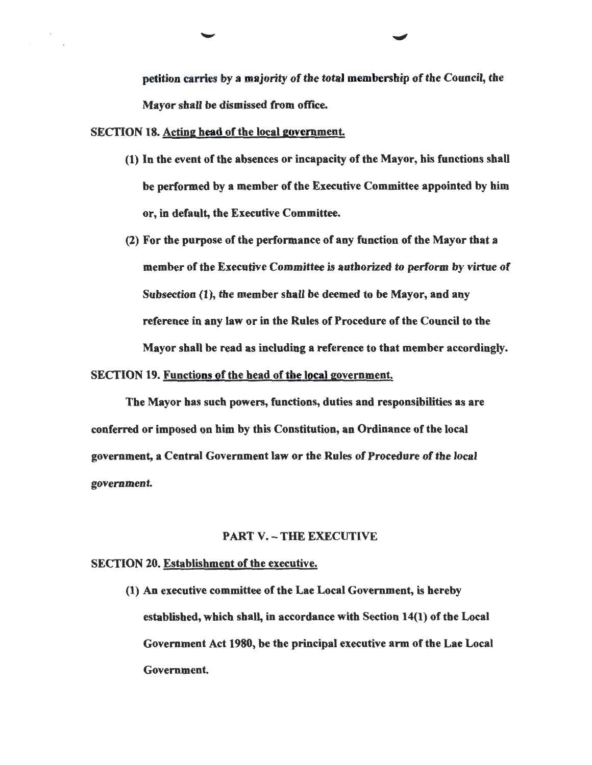petition carries by a majority of the total membership of the Council, the Mayor shall be dismissed from office.

#### SECTION 18. Acting head of the local government.

- (1) In the event of the absences or incapacity of the Mayor, his functions shall be performed by a member of the Executive Committee appointed by him or, in default, the Executive Committee.
- (2) For the purpose of the performance of any function of the Mayor that a member of the Executive Committee is authorized to perform by virtue of Subsection (1), the member shall be deemed to be Mayor, and any reference in any law or in the Rules of Procedure of the Council to the Mayor shall be read as including a reference to that member accordingly.

#### SECTION 19. Functions of the head of the local government.

The Mayor has such powers, functions, duties and responsibilities as are conferred or imposed on him by this Constitution, an Ordinance of the local government, a Central Government law or the Rules of Procedure of the local government.

#### PART V. - THE EXECUTIVE

#### SECTION 20. Establishment of the executive.

(1) An executive committee of the Lae Local Government, is hereby established, which shall, in accordance with Section 14(1) of the Local Government Act 1980, be the principal executive arm of the Lae Local Government.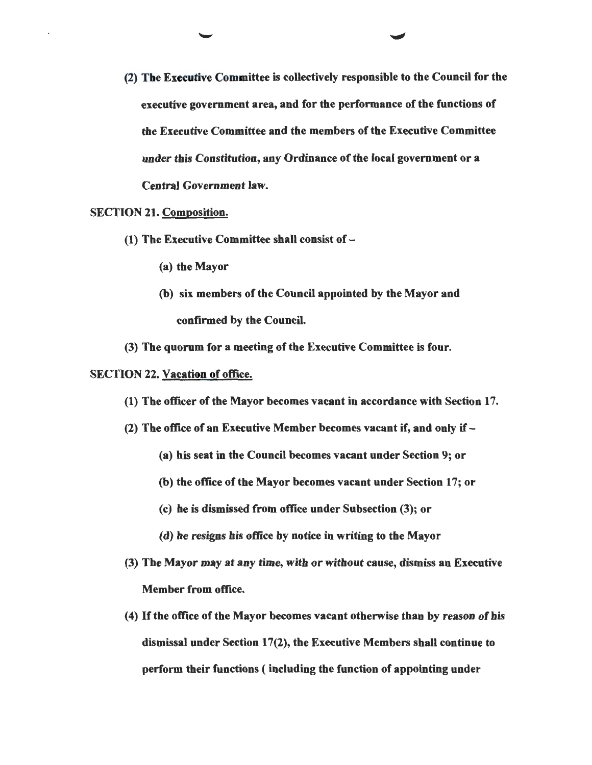(2) The Executive Committee is collectively responsible to the Council for the executive government area, and for the performance of the functions of the Executive Committee and the members of the Executive Committee under this Constitution, any Ordinance of the local government or a Central Government law.

# SECTION 21. Composition.

- (1) The Executive Committee shall consist of  $-$ 
	- (a) the Mayor
	- (b) six members of the Council appointed by the Mayor and confirmed by the Council.
- (3) The quorum for a meeting of the Executive Committee is four.

# SECTION 22. Vacation of office.

- (1) The officer of the Mayor becomes vacant in accordance with Section 17.
- (2) The office of an Executive Member becomes vacant if, and only if  $-$ 
	- (a) his seat in the Council becomes vacant under Section 9; or
	- (b) the office of the Mayor becomes vacant under Section 17; or
	- (c) he is dismissed from office under Subsection (3); or
	- (d) he resigns his office by notice in writing to the Mayor
- (3) The Mayor may at any time, with or without cause, dismiss an Executive Member from office.
- ( 4) If the office of the Mayor becomes vacant otherwise than by reason of his dismissal under Section 17(2), the Executive Members shall continue to perform their functions ( including the function of appointing under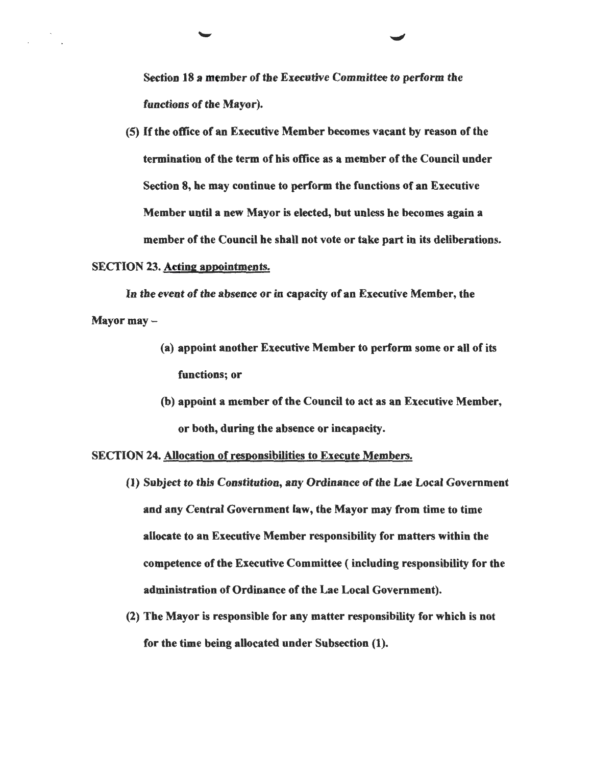Section 18 a member of the Executive Committee to perform the functions of the Mayor).

(5) If the office of an Executive Member becomes vacant by reason of the termination of the term of his office as a member of the Council under Section 8, he may continue to perform the functions of an Executive Member until a new Mayor is elected, but unless he becomes again a member of the Council he shall not vote or take part in its deliberations.

#### SECTION 23. Acting appointments.

In the event of the absence or in capacity of an Executive Member, the Mayor may-

- (a) appoint another Executive Member to perform some or all of its functions; or
- (b) appoint a member of the Council to act as an Executive Member, or both, during the absence or incapacity.

SECTION 24. Allocation of responsibilities to Execute Members.

- (1) Subject to this Constitution, any Ordinance of the Lae Local Government and any Central Government law, the Mayor may from time to time allocate to an Executive Member responsibility for matters within the competence of the Executive Committee ( including responsibility for the administration of Ordinance of the Lae Local Government).
- (2) The Mayor is responsible for any matter responsibility for which is not for the time being allocated under Subsection (1).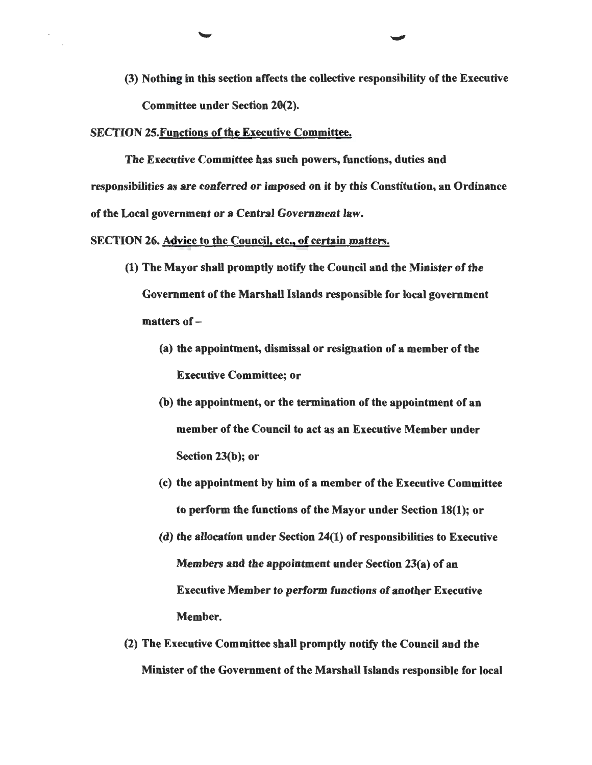(3) Nothing in this section affects the collective responsibility of the Executive Committee under Section 20(2).

SECTION 25.Functions of the Executive Committee.

The Executive Committee has such powers, functions, duties and responsibilities as are conferred or imposed on it by this Constitution, an Ordinance of the Local government or a Central Government law.

SECTION 26. Advice to the Council, etc., of certain matters.

- (1) The Mayor shall promptly notify the Council and the Minister of the Government of the Marshall Islands responsible for local government matters of-
	- (a) the appointment, dismissal or resignation of a member of the Executive Committee; or
	- (b) the appointment, or the termination of the appointment of an member of the Council to act as an Executive Member under Section 23(b); or
	- (c) the appointment by him of a member of the Executive Committee to perform the functions of the Mayor under Section 18(1); or
	- (d) the allocation under Section 24(1) of responsibilities to Executive Members and the appointment under Section 23(a) of an Executive Member to perform functions of another Executive Member.
- (2) The Executive Committee shall promptly notify the Council and the Minister of the Government of the Marshall Islands responsible for local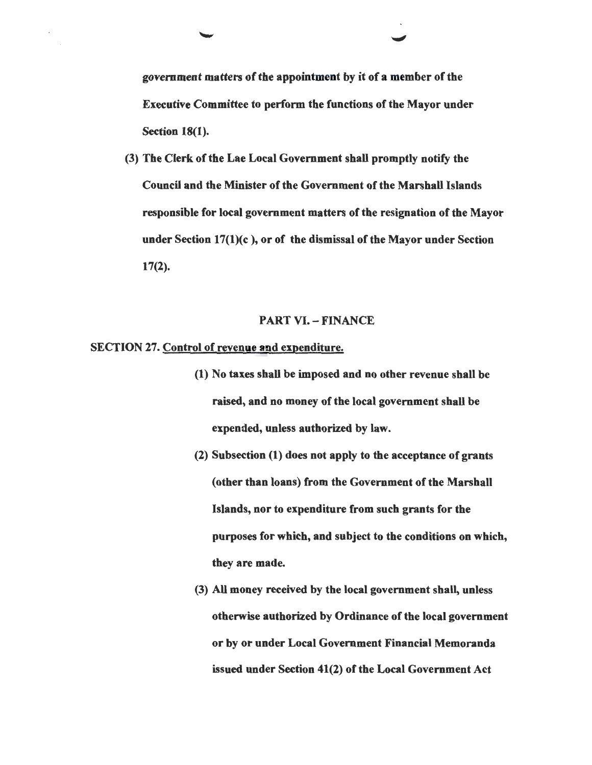government matters of the appointment by it of a member of the Executive Committee to perform the functions of the Mayor under Section 18(1).

(3) The Clerk of the Lae Local Government shall promptly notify the Council and the Minister of the Government of the Marshall Islands responsible for local government matters of the resignation of the Mayor under Section 17(1)(c ), or of the dismissal of the Mayor under Section 17(2).

# PART VI. - FINANCE

# SECTION 27. Control of revenue and expenditure.

- (1) No taxes shall be imposed and no other revenue shall be raised, and no money of the local government shall be expended, unless authorized by law.
- (2) Subsection (1) does not apply to the acceptance of grants (other than loans) from the Government of the Marshall Islands, nor to expenditure from such grants for the purposes for which, and subject to the conditions on which, they are made.
- (3) All money received by the local government shall, unless otherwise authorized by Ordinance of the local government or by or under Local Government Financial Memoranda issued under Section 41(2) of the Local Government Act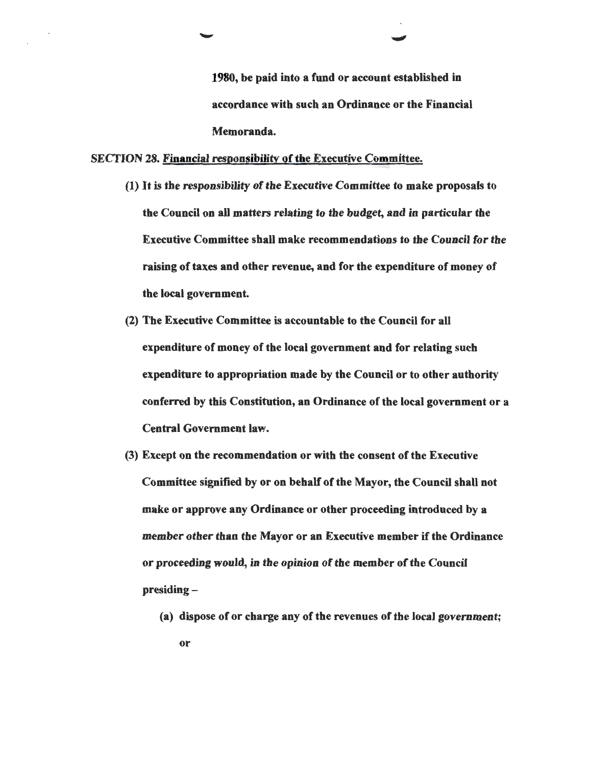1980, be paid into a fund or account established in accordance with such an Ordinance or the Financial Memoranda.

#### SECTION 28. Financial responsibility of the Executive Committee.

- (1) It is the responsibility of the Executive Committee to make proposals to the Council on aU matters relating to the budget, and in particular the Executive Committee shall make recommendations to the Council for the raising of taxes and other revenue, and for the expenditure of money of the local government.
- (2) The Executive Committee is accountable to the Council for aU expenditure of money of the local government and for relating such expenditure to appropriation made by the Council or to other authority conferred by this Constitution, an Ordinance of the local government or a Central Government law.
- (3) Except on the recommendation or with the consent of the Executive Committee signified by or on behalf of the Mayor, the Council shall not make or approve any Ordinance or other proceeding introduced by a member other than the Mayor or an Executive member if the Ordinance or proceeding would, in the opinion of the member of the Council presiding-
	- (a) dispose of or charge any of the revenues of the local government; or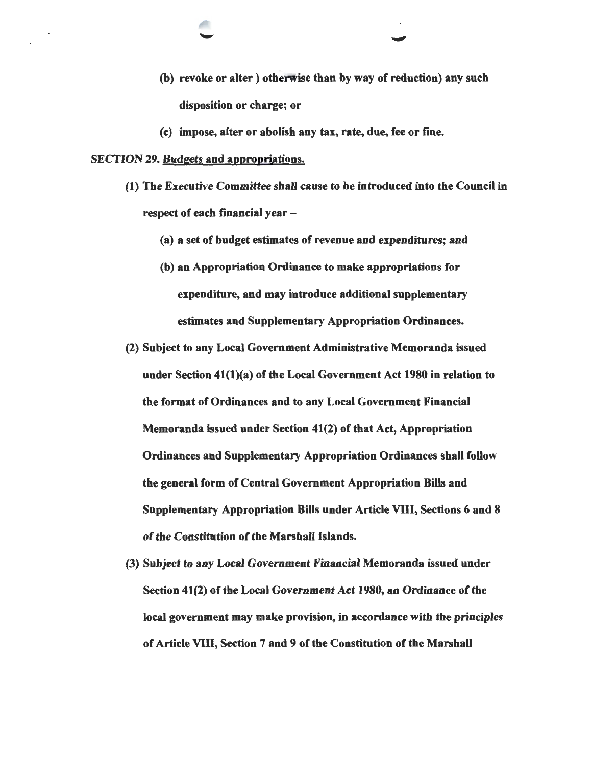- (b) revoke or alter) otherwise than by way of reduction) any such disposition or charge; or
- (c) impose, alter or abolish any tax, rate, due, fee or fme.

# SECTION 29. Budgets and appropriations.

- (1) The Executive Committee shall cause to be introduced into the Council in respect of each financial year  $-$ 
	- (a) a set of budget estimates of revenue and expenditures; and
	- (b) an Appropriation Ordinance to make appropriations for expenditure, and may introduce additional supplementary estimates and Supplementary Appropriation Ordinances.
- (2) Subject to any Local Government Administrative Memoranda issued under Section 41(1)(a) of the Local Government Act 1980 in relation to the format of Ordinances and to any Local Government Financial Memoranda issued under Section 41(2) of that Act, Appropriation Ordinances and Supplementary Appropriation Ordinances shall follow the general form of Central Government Appropriation Bills and Supplementary Appropriation Bills under Article VIII, Sections 6 and 8 of the Constitution of the Marshall Islands.
- (3) Subject to any Local Government Financial Memoranda issued under Section 41(2) of the Local Government Act 1980, an Ordinance of the local government may make provision, in accordance with the principles of Article VIII, Section 7 and 9 of the Constitution of the Marshall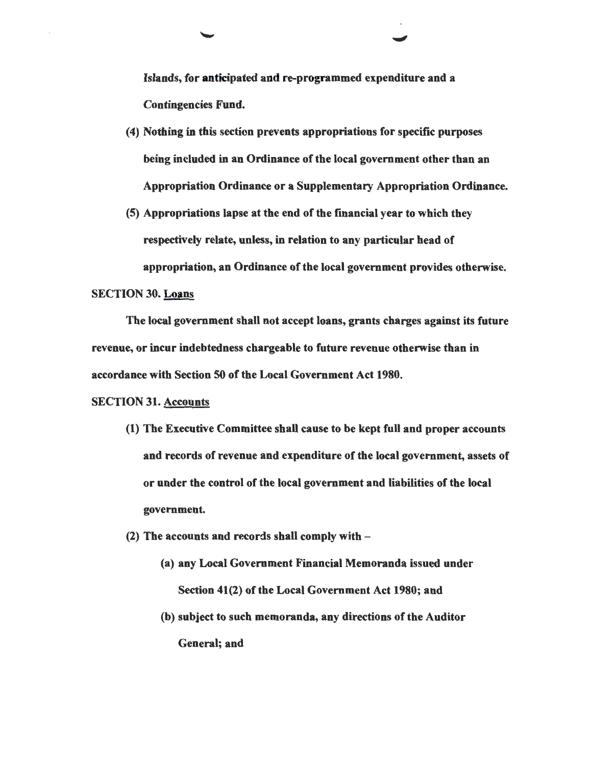Islands, for anticipated and re-programmed expenditure and a Contingencies Fund.

- (4) Nothing in this section prevents appropriations for specific purposes being included in an Ordinance of the local government other than an Appropriation Ordinance or a Supplementary Appropriation Ordinance.
- (5) Appropriations lapse at the end of the fmancial year to which they respectively relate, unless, in relation to any particular head of appropriation, an Ordinance of the local government provides otherwise.

# SECTION 30. Loans

The local government shall not accept loans, grants charges against its future revenue, or incur indebtedness chargeable to future revenue otherwise than in accordance with Section 50 of the Local Government Act 1980.

# SECTION 31. Accounts

- (1) The Executive Committee shall cause to be kept full and proper accounts and records of revenue and expenditure of the local government, assets of or under the control of the local government and liabilities of the local government.
- (2) The accounts and records shall comply with  $-$ 
	- (a) any Local Government Financial Memoranda issued under Section 41(2) of the Local Government Act 1980; and
	- (b) subject to such memoranda, any directions of the Auditor General; and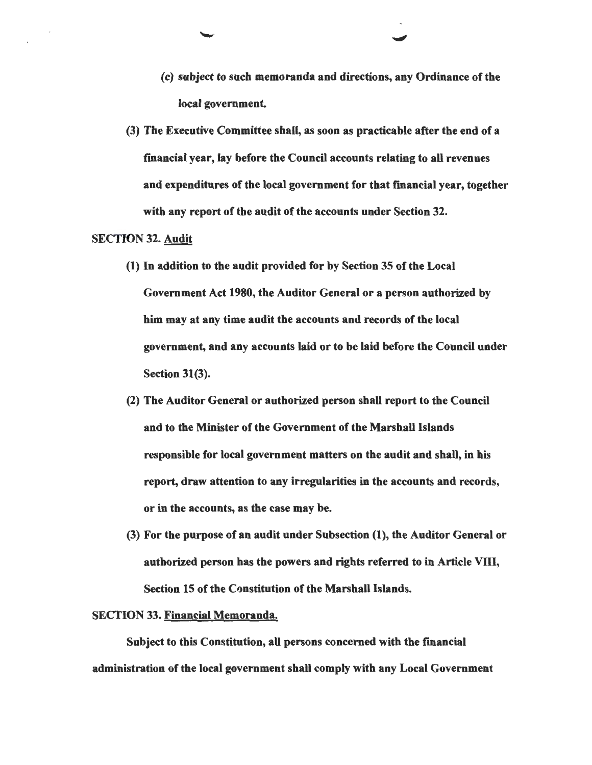- (c) subject to such memoranda and directions, any Ordinance of the local government.
- (3) The Executive Committee shall, as soon as practicable after the end of a fmancial year, lay before the Council accounts relating to all revenues and expenditures of the local government for that fmancial year, together with any report of the audit of the accounts under Section 32.

#### SECTION 32. Audit

- (1) In addition to the audit provided for by Section 35 of the Local Government Act 1980, the Auditor General or a person authorized by him may at any time audit the accounts and records of the local government, and any accounts laid or to be laid before the Council under Section 31(3).
- (2) The Auditor General or authorized person shall report to the Council and to the Minister of the Government of the Marshall Islands responsible for local government matters on the audit and shall, in his report, draw attention to any irregularities in the accounts and records, or in the accounts, as the case may be.
- (3) For the purpose of an audit under Subsection (1), the Auditor General or authorized person has the powers and rights referred to in Article Vlll, Section 15 of the Constitution of the Marshall Islands.

#### SECTION 33. Financial Memoranda.

Subject to this Constitution, all persons concerned with the financial administration of the local government shall comply with any Local Government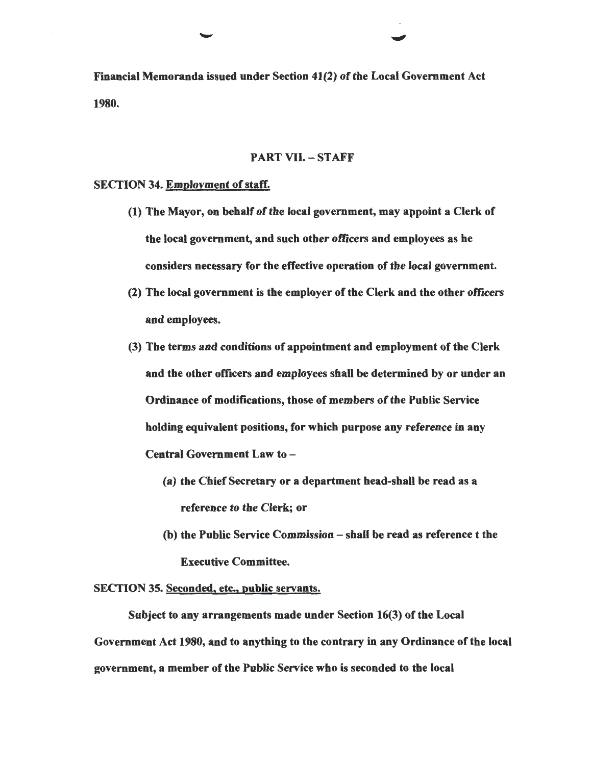Financial Memoranda issued under Section 41(2) of the Local Government Act 1980.

# PART VII.- STAFF

#### SECTION 34. Employment of staff.

- (1) The Mayor, on behaH of the local government, may appoint a Clerk of the local government, and such other officers and employees as he considers necessary for the effective operation of the local government.
- (2) The local government is the employer of the Clerk and the other officers and employees.
- (3) The terms and conditions of appointment and employment of the Clerk and the other officers and employees shall be determined by or under an Ordinance of modifications, those of members of the Public Service holding equivalent positions, for which purpose any reference in any Central Government Law to -
	- (a) the Chief Secretary or a department head-shall be read as a reference to the Clerk; or
	- (b) the Public Service Commission  $-$  shall be read as reference  $t$  the Executive Committee.

#### SECTION 35. Seconded, etc., public servants.

Subject to any arrangements made under Section 16(3) of the Local Government Act 1980, and to anything to the contrary in any Ordinance of the local government, a member of the Public Service who is seconded to the local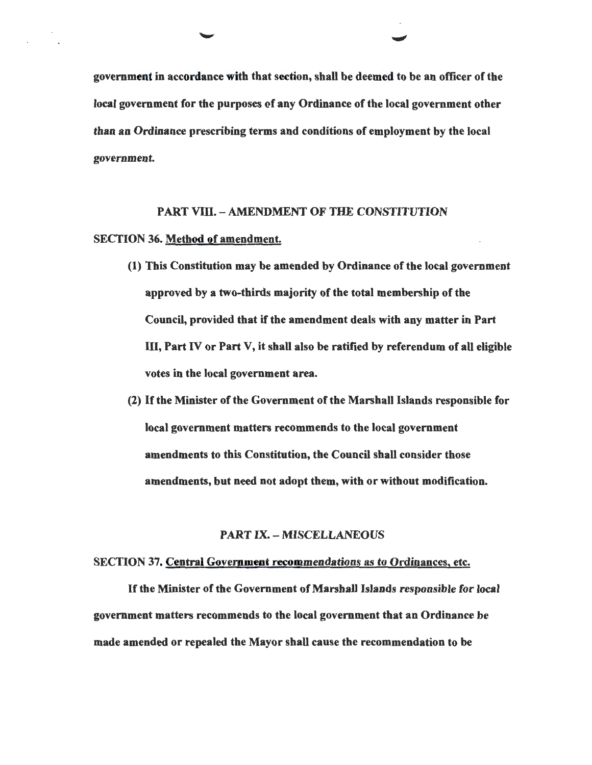government in accordance with that section, shall be deemed to be an officer of the local government for the purposes of any Ordinance of the local government other than an Ordinance prescribing terms and conditions of employment by the local government.

# PART VIII. - AMENDMENT OF THE CONSTITUTION

# SECTION 36. Method of amendment.

- (1) This Constitution may be amended by Ordinance of the local government approved by a two-thirds majority of the total membership of the Council, provided that if the amendment deals with any matter in Part III, Part IV or Part V, it shall also be ratified by referendum of all eligible votes in the local government area.
- (2) If the Minister of the Government of the Marshall Islands responsible for local government matters recommends to the local government amendments to this Constitution, the Council shall consider those amendments, but need not adopt them, with or without modification.

# PART IX.- MISCELLANEOUS

#### SECTION 37. Central Government recommendations as to Ordinances, etc.

If the Minister of the Government of Marshall Islands responsible for local government matters recommends to the local government that an Ordinance be made amended or repealed the Mayor shall cause the recommendation to be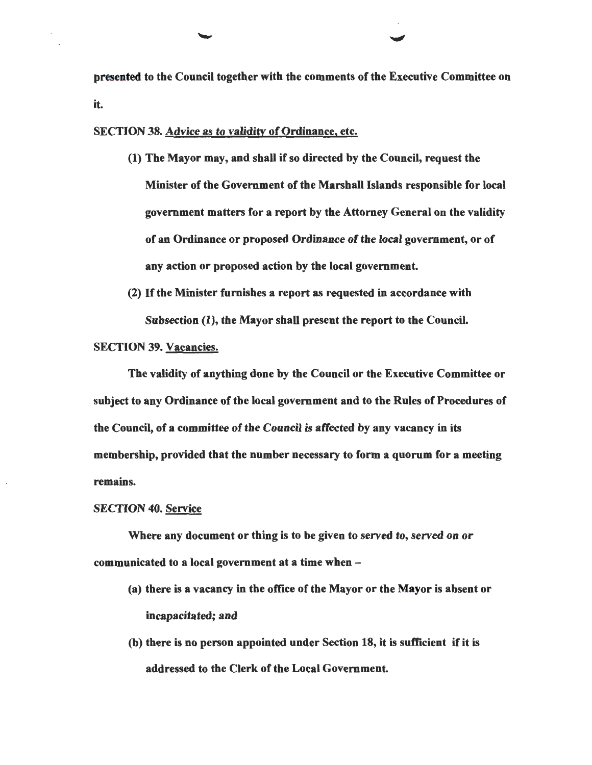presented to the Council together with the comments of the Executive Committee on it.

SECTION 38. Advice as to validity of Ordinance, etc.

- (1) The Mayor may, and shall if so directed by the Council, request the Minister of the Government of the Marshall Islands responsible for local government matters for a report by the Attorney General on the validity of an Ordinance or proposed Ordinance of the local government, or of any action or proposed action by the local government.
- (2) If the Minister furnishes a report as requested in accordance with Subsection (1), the Mayor shall present the report to the Council.

#### SECTION 39. Vacancies.

The validity of anything done by the Council or the Executive Committee or subject to any Ordinance of the local government and to the Rules of Procedures of the Council, of a committee of the Council is affected by any vacancy in its membership, provided that the number necessary to form a quorum for a meeting remains.

#### SECTION 40. Service

Where any document or thing is to be given to served to, served on or communicated to a local government at a time when  $-$ 

- (a) there is a vacancy in the office of the Mayor or the Mayor is absent or incapacitated; and
- (b) there is no person appointed under Section 18, it is sufficient if it is addressed to the Clerk of the Local Government.